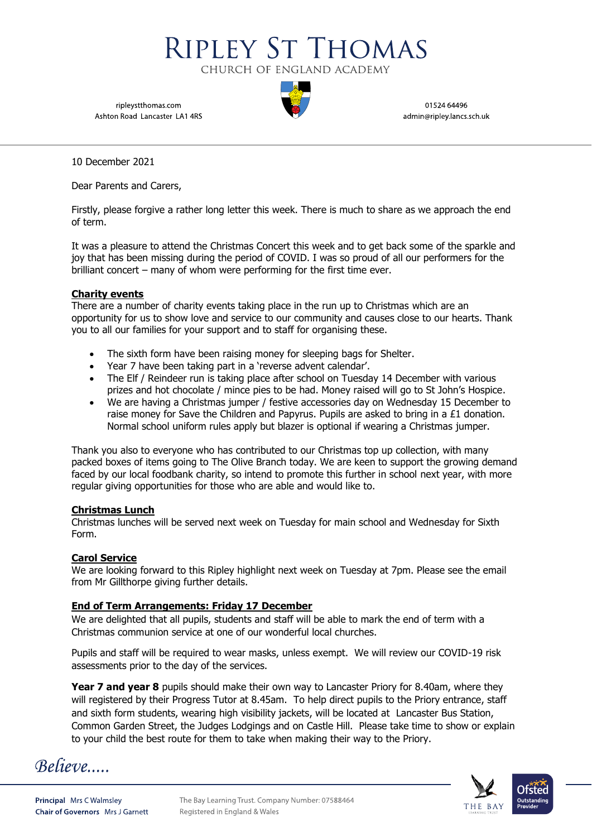ripleystthomas.com Ashton Road Lancaster LA1 4RS

01524 64496 admin@ripley.lancs.sch.uk

10 December 2021

Dear Parents and Carers,

Firstly, please forgive a rather long letter this week. There is much to share as we approach the end of term.

**RIPLEY ST THOMAS** 

CHURCH OF ENGLAND ACADEMY

It was a pleasure to attend the Christmas Concert this week and to get back some of the sparkle and joy that has been missing during the period of COVID. I was so proud of all our performers for the brilliant concert – many of whom were performing for the first time ever.

# **Charity events**

There are a number of charity events taking place in the run up to Christmas which are an opportunity for us to show love and service to our community and causes close to our hearts. Thank you to all our families for your support and to staff for organising these.

- The sixth form have been raising money for sleeping bags for Shelter.
- Year 7 have been taking part in a 'reverse advent calendar'.
- The Elf / Reindeer run is taking place after school on Tuesday 14 December with various prizes and hot chocolate / mince pies to be had. Money raised will go to St John's Hospice.
- We are having a Christmas jumper / festive accessories day on Wednesday 15 December to raise money for Save the Children and Papyrus. Pupils are asked to bring in a  $£1$  donation. Normal school uniform rules apply but blazer is optional if wearing a Christmas jumper.

Thank you also to everyone who has contributed to our Christmas top up collection, with many packed boxes of items going to The Olive Branch today. We are keen to support the growing demand faced by our local foodbank charity, so intend to promote this further in school next year, with more regular giving opportunities for those who are able and would like to.

# **Christmas Lunch**

Christmas lunches will be served next week on Tuesday for main school and Wednesday for Sixth Form.

# **Carol Service**

We are looking forward to this Ripley highlight next week on Tuesday at 7pm. Please see the email from Mr Gillthorpe giving further details.

# **End of Term Arrangements: Friday 17 December**

We are delighted that all pupils, students and staff will be able to mark the end of term with a Christmas communion service at one of our wonderful local churches.

Pupils and staff will be required to wear masks, unless exempt. We will review our COVID-19 risk assessments prior to the day of the services.

**Year 7 and year 8** pupils should make their own way to Lancaster Priory for 8.40am, where they will registered by their Progress Tutor at 8.45am. To help direct pupils to the Priory entrance, staff and sixth form students, wearing high visibility jackets, will be located at Lancaster Bus Station, Common Garden Street, the Judges Lodgings and on Castle Hill. Please take time to show or explain to your child the best route for them to take when making their way to the Priory.

Believe....

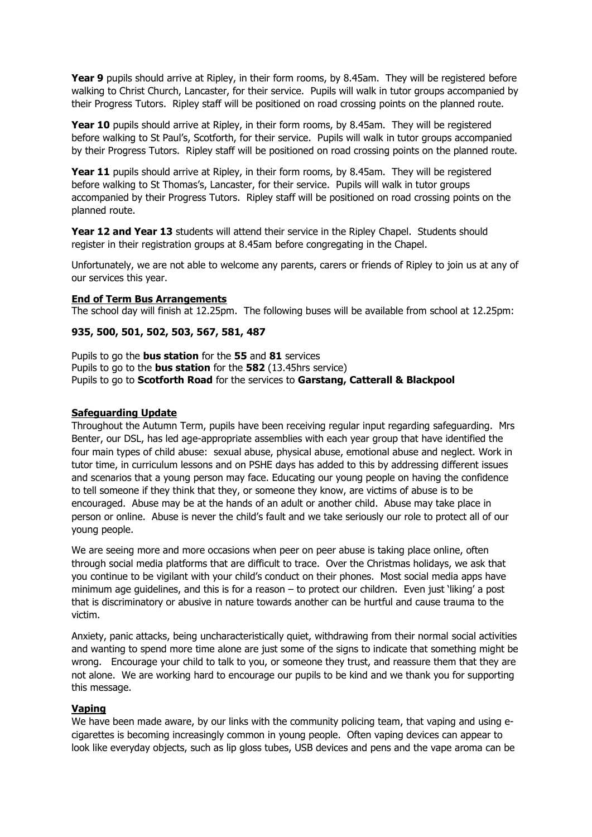**Year 9** pupils should arrive at Ripley, in their form rooms, by 8.45am. They will be registered before walking to Christ Church, Lancaster, for their service. Pupils will walk in tutor groups accompanied by their Progress Tutors. Ripley staff will be positioned on road crossing points on the planned route.

Year 10 pupils should arrive at Ripley, in their form rooms, by 8.45am. They will be registered before walking to St Paul's, Scotforth, for their service. Pupils will walk in tutor groups accompanied by their Progress Tutors. Ripley staff will be positioned on road crossing points on the planned route.

Year 11 pupils should arrive at Ripley, in their form rooms, by 8.45am. They will be registered before walking to St Thomas's, Lancaster, for their service. Pupils will walk in tutor groups accompanied by their Progress Tutors. Ripley staff will be positioned on road crossing points on the planned route.

**Year 12 and Year 13** students will attend their service in the Ripley Chapel. Students should register in their registration groups at 8.45am before congregating in the Chapel.

Unfortunately, we are not able to welcome any parents, carers or friends of Ripley to join us at any of our services this year.

# **End of Term Bus Arrangements**

The school day will finish at 12.25pm. The following buses will be available from school at 12.25pm:

### **935, 500, 501, 502, 503, 567, 581, 487**

Pupils to go the **bus station** for the **55** and **81** services Pupils to go to the **bus station** for the **582** (13.45hrs service) Pupils to go to **Scotforth Road** for the services to **Garstang, Catterall & Blackpool**

#### **Safeguarding Update**

Throughout the Autumn Term, pupils have been receiving regular input regarding safeguarding. Mrs Benter, our DSL, has led age-appropriate assemblies with each year group that have identified the four main types of child abuse: sexual abuse, physical abuse, emotional abuse and neglect. Work in tutor time, in curriculum lessons and on PSHE days has added to this by addressing different issues and scenarios that a young person may face. Educating our young people on having the confidence to tell someone if they think that they, or someone they know, are victims of abuse is to be encouraged. Abuse may be at the hands of an adult or another child. Abuse may take place in person or online. Abuse is never the child's fault and we take seriously our role to protect all of our young people.

We are seeing more and more occasions when peer on peer abuse is taking place online, often through social media platforms that are difficult to trace. Over the Christmas holidays, we ask that you continue to be vigilant with your child's conduct on their phones. Most social media apps have minimum age guidelines, and this is for a reason – to protect our children. Even just 'liking' a post that is discriminatory or abusive in nature towards another can be hurtful and cause trauma to the victim.

Anxiety, panic attacks, being uncharacteristically quiet, withdrawing from their normal social activities and wanting to spend more time alone are just some of the signs to indicate that something might be wrong. Encourage your child to talk to you, or someone they trust, and reassure them that they are not alone. We are working hard to encourage our pupils to be kind and we thank you for supporting this message.

#### **Vaping**

We have been made aware, by our links with the community policing team, that vaping and using ecigarettes is becoming increasingly common in young people. Often vaping devices can appear to look like everyday objects, such as lip gloss tubes, USB devices and pens and the vape aroma can be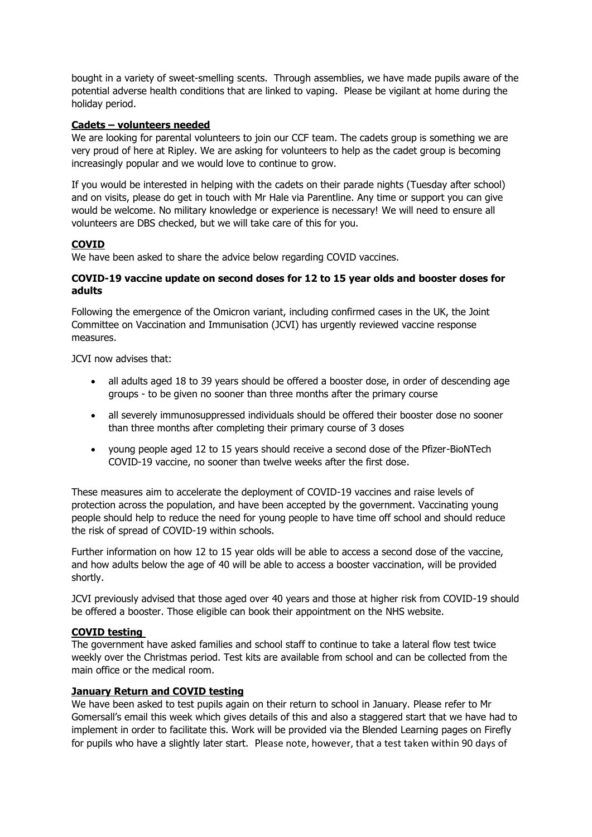bought in a variety of sweet-smelling scents. Through assemblies, we have made pupils aware of the potential adverse health conditions that are linked to vaping. Please be vigilant at home during the holiday period.

# **Cadets – volunteers needed**

We are looking for parental volunteers to join our CCF team. The cadets group is something we are very proud of here at Ripley. We are asking for volunteers to help as the cadet group is becoming increasingly popular and we would love to continue to grow.

If you would be interested in helping with the cadets on their parade nights (Tuesday after school) and on visits, please do get in touch with Mr Hale via Parentline. Any time or support you can give would be welcome. No military knowledge or experience is necessary! We will need to ensure all volunteers are DBS checked, but we will take care of this for you.

# **COVID**

We have been asked to share the advice below regarding COVID vaccines.

# **COVID-19 vaccine update on second doses for 12 to 15 year olds and booster doses for adults**

Following the emergence of the Omicron variant, including confirmed cases in the UK, the Joint Committee on Vaccination and Immunisation (JCVI) has urgently reviewed vaccine response measures.

JCVI now advises that:

- all adults aged 18 to 39 years should be offered a booster dose, in order of descending age groups - to be given no sooner than three months after the primary course
- all severely immunosuppressed individuals should be offered their booster dose no sooner than three months after completing their primary course of 3 doses
- young people aged 12 to 15 years should receive a second dose of the Pfizer-BioNTech COVID-19 vaccine, no sooner than twelve weeks after the first dose.

These measures aim to accelerate the deployment of COVID-19 vaccines and raise levels of protection across the population, and have been accepted by the government. Vaccinating young people should help to reduce the need for young people to have time off school and should reduce the risk of spread of COVID-19 within schools.

Further information on how 12 to 15 year olds will be able to access a second dose of the vaccine, and how adults below the age of 40 will be able to access a booster vaccination, will be provided shortly.

JCVI previously advised that those aged over 40 years and those at higher risk from COVID-19 should be offered a booster. Those eligible can book their appointment on the [NHS website.](https://www.nhs.uk/conditions/coronavirus-covid-19/coronavirus-vaccination/book-coronavirus-vaccination/)

# **COVID testing**

The government have asked families and school staff to continue to take a lateral flow test twice weekly over the Christmas period. Test kits are available from school and can be collected from the main office or the medical room.

# **January Return and COVID testing**

We have been asked to test pupils again on their return to school in January. Please refer to Mr Gomersall's email this week which gives details of this and also a staggered start that we have had to implement in order to facilitate this. Work will be provided via the Blended Learning pages on Firefly for pupils who have a slightly later start. Please note, however, that a test taken within 90 days of